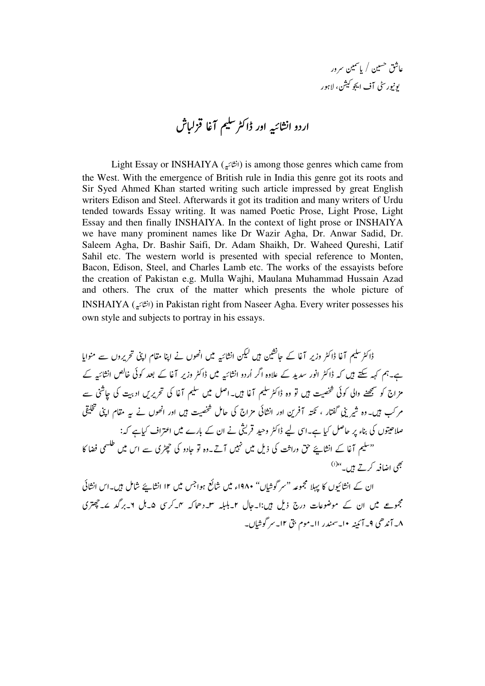عاشق تحسین / یا شمین سرور **يونيور سٹی آف ايجو کيشن، لاہور** 

## اردو انشائيه اور ڈاکٹر سلیم آغا قزلباش

Light Essay or INSHAIYA (-) is among those genres which came from the West. With the emergence of British rule in India this genre got its roots and Sir Syed Ahmed Khan started writing such article impressed by great English writers Edison and Steel. Afterwards it got its tradition and many writers of Urdu tended towards Essay writing. It was named Poetic Prose, Light Prose, Light Essay and then finally INSHAIYA. In the context of light prose or INSHAIYA we have many prominent names like Dr Wazir Agha, Dr. Anwar Sadid, Dr. Saleem Agha, Dr. Bashir Saifi, Dr. Adam Shaikh, Dr. Waheed Qureshi, Latif Sahil etc. The western world is presented with special reference to Monten, Bacon, Edison, Steel, and Charles Lamb etc. The works of the essayists before the creation of Pakistan e.g. Mulla Wajhi, Maulana Muhammad Hussain Azad and others. The crux of the matter which presents the whole picture of INSHAIYA (-) in Pakistan right from Naseer Agha. Every writer possesses his own style and subjects to portray in his essays.

ڈاکٹر سکیم آغا ڈاکٹر وزیر آغا کے جائشین ہیں کیکن انشائیہ میں اٹھوں نے اپنا مقام اپنی تحریروں سے منوایا ہے۔ہم کہہ سکتے ہیں کہ ڈاکٹر انور سدید کے علاوہ اگر اُردو انشائیہ میں ڈاکٹر وزیر آغا کے بعد کوئی خالص انشائیہ کے مزاج کو سمجھنے والی کوئی شخصیت ہیں تو وہ ڈاکٹر سلیم آغا ہیں۔اصل میں سلیم آغا کی تحریریں ادبیت کی جاشنی سے مر کب ہیں۔وہ شیر ینی گفتار ، نکتہ آفرین اور انشانی مزاج کی حامل شخصیت ہیں اور اٹھوں نے یہ مقام اپنی تحلیقی صلاحیتوں کی بناء پر حاصل کیا ہے۔اسی لیے ڈاکٹر وحید قریتی نے ان کے بارے میں اعتراف کیاہے کہ: '' سلیم آغا کے انشایئے حق وراثت کی ذیل میں نہیں آتے۔وہ تو جادو کی چھڑی سے اس میں خلسی فضا کا بھی اضافہ کرتے ہیں۔"<sup>()</sup>

ان کے انشائیوں کا پہلا مجموعہ "سر گوشایں" ۱۹۸۰ء میں شائع ہواجس میں ۱۲ انشایئے شامل ہیں۔اس انشانی مجموعے میں ان کے موضوعات درج ذیل ہیں:ا۔جال ۲۔بلبلہ س دھاکہ نہ کرسی ۵۔مل ۶۔برگد ے۔حچھتری ۸- آند هی ۹- آئینه ۱۰- سمندر اا-موم بق ۱۲- سر گوشایں۔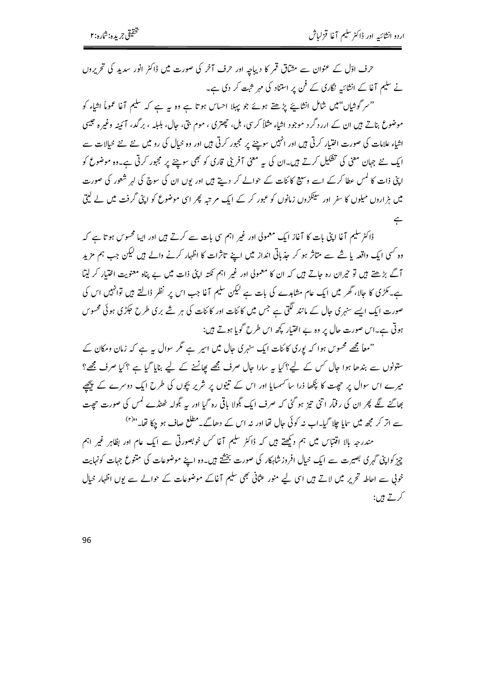حرف اڈل کے عنوان سے مشاق قمر کا دیباچہ اور حرف آخر کی صورت میں ڈاکٹر انور سدید کی تحریروں نے سلیم آغا کے انشائیہ نگاری کے فن پر استناد کی مہر ثبت کر دی ہے۔

"سر گوشاں"میں شامل انشائے پڑھتے ہوئے جو پہلا احساس ہوتا ہے وہ یہ ہے کہ سلیم آغا عموماً اشاء کو موضوع بناتے ہیں ان کے اررد گرد موجود اشاءِ مثلاً کریں، ہل، حچیتری ، موم بتی، حال، بلبلہ ، برگد، آئینہ وغیرہ حبیبی اشیاء علامات کی صورت اختیار کرتی ہیں اور انہیں سوچنے پر مجبور کرتی ہیں اور وہ خیال کی رو میں نئے نئے خیالات سے ایک نئے جہان معنی کی تفکیل کرتے ہیں۔ان کی ہہ معنی آفرینی قاری کو بھی سوچنے پر مجبور کرتی ہے۔وہ موضوع کو اپنی ذات کا کمس عطا کرکے اسے وسیع کائنات کے حوالے کر دیتے ہیں اور یوں ان کی سوچ کی لہر شعور کی صورت میں ہزاروں میلوں کا سفر اور سینکڑوں زمانوں کو عبور کر کے ایک مرتبہ پھر اسی موضوع کو اپنی گرفت میں لے لیتی  $\leftarrow$ 

ڈاکٹر سلیم آغا اپنی بات کا آغاز ایک معمولی اور غیر اہم سی بات سے کرتے ہیں اور ایپا محسوس ہو تا ہے کہ وہ <sup>کس</sup>ی ایک واقعہ یا شے سے متاثر ہو کر جذباتی انداز میں اپنے تاثرات کا اظہار کرنے والے ہیں لیکن جب ہم مزید آگے بڑھتے ہیں تو حیران رہ جاتے ہیں کہ ان کا معمولی اور غیر اہم نکتہ اپنی ذات میں بے پناہ معنویت اختیار کر لیتا ہے۔مگڑی کا جالا، گھر میں ایک عام مشاہدے کی بات ہے لیکن سلیم آغا جب اس پر نظر ڈالتے ہیں توانہیں اس کی صورت ایک ایسے سنہری جال کے مانند لگتی ہے جس میں کائنات اور کائنات کی ہر شے بری طرح حکڑی ہوئی محسوس ہوتی ہے۔اس صورت حال پر وہ بے اختیار کچھ اس طرح گویا ہوتے ہیں:

"معاً مجھے محسوس ہوا کہ یوری کائنات ایک سنہری جال میں اسپر ہے گر سوال ہہ ہے کہ زمان ومکان کے ستونوں سے بندھا ہوا جال کس کے لیے؟کیا یہ سارا جال صرف مجھے پھاننے کے لیے بنایا گیا ہے ؟کیا صرف مجھ؟ میرے اس سوال پر حصیت کا پکھا ذرا سا سمسایا اور اس کے تنیوں پر شریر بچوں کی طرح ایک دوسرے کے پیچھیے بھاگنے لگے پھر ان کی رفمار اتنی تیز ہو گئی کہ صرف ایک بگولا باقی رہ گیا اور یہ بگولہ ٹھنڈے کمس کی صورت حیجت سے اتر کر مجھ میں سایا چلا گیا۔اب نہ کوئی جال تھا اور نہ اس کے دھاگے۔مطلع صاف ہو جکا تھا۔''<sup>(۲)</sup>

مندرجہ بالا اقتباس میں ہم دیکھتے ہیں کہ ڈاکٹر سلیم آغا کس خوبصورتی سے ایک عام اور بظاہر غیر اہم چیز کواپنی گہری بصیرت سے ایک خیال افروز شاہکار کی صورت بخشتے ہیں۔وہ اپنے موضوعات کی متنوع جہات کونہایت خولی سے اعاطہ تحریر میں لاتے ہیں اسی لیے منور عثانی بھی سلیم آغاکے موضوعات کے حوالے سے یوں اظہار خیال کرتے ہیں: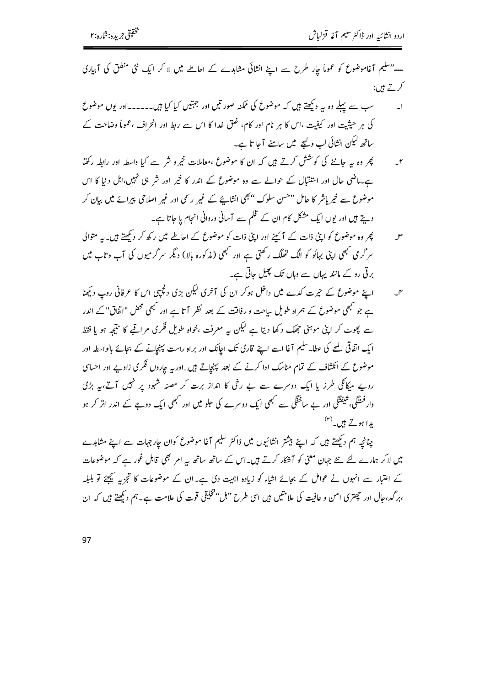۔" سلیم آغاموضوع کو عموماً جار طرح سے اپنے انشائی مشاہدے کے اعاطے میں لا کر ایک نئی منطق کی آبیاری کرتے ہیں:

- سب سے پہلے وہ یہ دیکھتے ہیں کہ موضوع کی ممکنہ صورتیں اور جہتیں کیا کیا ہیں۔۔۔۔۔اور یوں موضوع  $\overline{\phantom{0}}$ کی ہر حیثیت اور کیفیت ،اس کا ہر نام اور کام، خلق غدا کا اس سے ربط اور انحراف ،عموماً وضاحت کے ساتھ لیکن انشائی لب ولیجے میں سامنے آجا تا ہے۔
- پھر وہ یہ جاننے کی کو<sup>شش</sup> کرتے ہیں کہ ان کا موضوع ،معاملات خیرو شر سے کیا واسطہ اور رابطہ رکھتا  $-1$ ہے۔ماضی حال اور استقبال کے حوالے سے وہ موضوع کے اندر کا خیر اور شر ہی نہیں،اہل دنیا کا اس موضوع سے خیریاشر کا حامل "حسن سلوک "بھی انشایئے کے غیر رسمی اور غیر اصلاحی پیرائے میں بیان کر دیتے ہیں اور یوں ایک مشکل کام ان کے قلم سے آسانی وروانی انجام یا جاتا ہے۔
- پھر وہ موضوع کو اپنی ذات کے آئے اور اپنی ذات کو موضوع کے اعاطے میں رکھ کر دیکھتے ہیں۔ یہ متوالی  $-r$ سر گرمی سمجھی اپنی بہائو کو الگ تھلگ رکھتی ہے اور سمجھی (مذکورہ بالا) دیگر سرگرمیوں کی آب وتاب میں برقی رو کے مانند یہاں سے وہاں تک پھیل جاتی ہے۔
- اپنے موضوع کے حیرت کدے میں داخل ہوکر ان کی آخری کیکن بڑی دلچپی اس کا عرفانی روپ دیکھنا  $-$ r ہے جو مبھی موضوع کے ہمراہ طویل ساحت و رفاقت کے بعد نظر آتا ہے اور مبھی محض "انفاق"کے اندر سے پھوٹ کر اپنی موہنی جھلک د کھا دیتا ہے لیکن یہ معرفت ،خواہ طویل فکری مراقبے کا نتیجہ ہو یا فقط ا یک اتفاقی کیے کی عطا۔ سلیم آغا اسے اپنے قاری تک اجانک اور براہ راست پہنچانے کے بجائے بالواسطہ اور موضوع کے انکشاف کے تمام مناسک ادا کرنے کے بعد پہنچاتے ہیں..اوریہ جاروں فکری زاویے اور احساسی روپے میکانگی طرز یا ایک دوسرے سے بے رخی کا انداز برت کر مصنہ شہود پر نہیں آتے، یہ بڑی وار فسنگی،شیفتگی اور بے ساخنگی سے مجھی ایک دوسرے کی حلو میں اور مجھی ایک دوجے کے اندر اتر کر ہو یدا ہوتے ہیں۔<sup>(۳)</sup>

چنانچہ ہم دیکھتے ہیں کہ اپنے بیشتر انشائیوں میں ڈاکٹر سلیم آغا موضوع کوان جارجہات سے اپنے مشاہدے میں لاکر ہمارے لئے نئے جہان معنی کو آشکار کرتے ہیں۔اس کے ساتھ ساتھ یہ امر بھی قابل غور ہے کہ موضوعات کے اعتبار سے انہوں نے عوامل کے بجائے اشاء کو زیادہ اہمیت دی ہے۔ان کے موضوعات کا تجزیہ ﷺ تو بلبلہ ،بر گد،جال اور حچھتری امن و عافیت کی علامتیں ہیں اسی طرح "ہل" تخلیقی قوت کی علامت ہے۔ہم دیکھتے ہیں کہ ان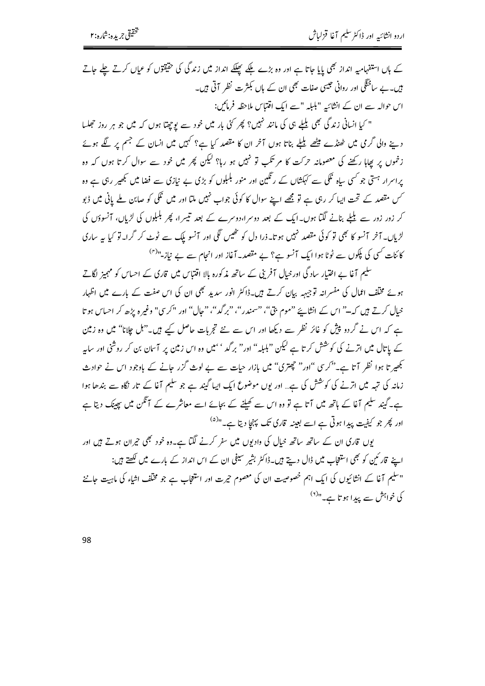کے ہاں استفہامیہ انداز بھی پایا جاتا ہے اور وہ بڑے ملکے پھلکے انداز میں زندگی کی حقیقوں کو عیاں کرتے چلے جاتے ہیں۔بے ساخلگی اور روانی جیسی صفات بھی ان کے ہاں بکثرت نظر آتی ہیں۔ ایں حوالہ سے ان کے انشائیہ "بلبلہ "سے ایک اقتباس ملاحظہ فرمائیں:

" کیا انسانی زندگی بھی بلیلے ہی کی مانند نہیں؟ پھر کئی بار میں خود سے یوچھتا ہوں کہ میں جو ہر روز حجلسا دینے والی گرمی میں ٹھنڈے میٹھے بلبلے بناتا ہوں آخر ان کا مقصد کیا ہے؟ کہیں میں انسان کے جسم پر لگے ہوئے زخموں پر بھاہا رکھنے کی معصومانہ حرکت کا مر تکب تو نہیں ہو رہا؟ لیکن پھر میں خود سے سوال کرتا ہوں کہ وہ یراسرار <sup>ہستی</sup> جو <sup>کس</sup>ی ساہ نککی سے کہکشاں کے رنگین اور منور بلبلوں کو بڑی بے نیازی سے فضا میں <del>ب</del>ھیر رہی ہے وہ کس مقصد کے تحت ایپا کر رہی ہے تو مجھے اپنے سوال کا کوئی جواب نہیں ملتا اور میں نککی کو صابن ملے پانی میں ڈبو کر زور زور سے بلبلے بنانے لگتا ہوں۔ایک کے بعد دوسراہ دوسرے کے بعد تیسرا، پھر بلبلوں کی لڑیاں، آنسوؤں کی لڑیاں۔ آخر آنسو کا بھی تو کوئی مقصد نہیں ہو تا۔ذرا دل کو تھیں گکی اور آنسو یک سے ٹوٹ کر گرا۔تو کیا ہے ساری کائنات کسی کی پکوں سے ٹوٹا ہوا ایک آنسو ہے؟ بے مقصد۔آغاز اور انحام سے بے نیاز۔"<sup>(۴)</sup>

سلیم آغا بے اختیار ساد گی اور خیال آفرینی کے ساتھ مذکورہ بالا اقتتاس میں قاری کے احساس کو مہمیز لگاتے ہوئے مخلّف اعمال کی مفسرانہ توجہہہ بیان کرتے ہیں۔ڈاکٹر انور سدید بھی ان کی اس صفت کے بارے میں اظہار خیال کرتے ہیں کہ<sup>ے"</sup> اس کے انشایئے "موم بتی"، "سمندر"، "برگد"، "جال" اور "کرسی" وغیرہ پڑھ کر احساس ہو تا ہے کہ اس نے گردو پیش کو غائر نظر سے دیکھا اور اس سے نئے تجربات حاصل کیے ہیں۔"ہل جلانا" میں وہ زمین کے پاتال میں اترنے کی کوشش کرتا ہے لیکن "ہلبلہ" اور" برگد ' 'میں وہ اس زمین پر آسان بن کر روشنی اور ساہہ بھیر تا ہوا نظر آتا ہے۔"کرسی "اور" چھتری" میں بازار حیات سے بے لوث گزر جانے کے باوجود اس نے حوادث زمانہ کی تہہ میں اترنے کی کوشش کی ہے… اور یوں موضوع ایک ایپا گیند ہے جو سلیم آغا کے تار نگاہ سے بندھا ہوا ہے۔گیند سلیم آغا کے ہاتھ میں آتا ہے تو وہ اس سے کھیلنے کے بجائے اسے معاشرے کے آنگن میں چیپنک دیتا ہے اور پھر جو کیفیت پیدا ہوتی ہے اسے بعینہ قارکی تک پہنچا دیتا ہے۔"<sup>(۵)</sup>

بوں قاری ان کے ساتھ ساتھ خیال کی وادیوں میں سفر کرنے لگتا ہے۔وہ خود بھی حیران ہوتے ہیں اور اپنے قار ٹین کو بھی استعجاب میں ڈال دیتے ہیں۔ڈاکٹر بشیر شیفی ان کے اس انداز کے بارے میں لکھتے ہیں: "سلیم آغا کے انشائیوں کی ایک اہم خصوصیت ان کی معصوم حیرت اور استعجاب ہے جو مختلف اشاء کی ماہیت جاننے کی خواہش سے پہدا ہو تا ہے۔"<sup>(۲)</sup>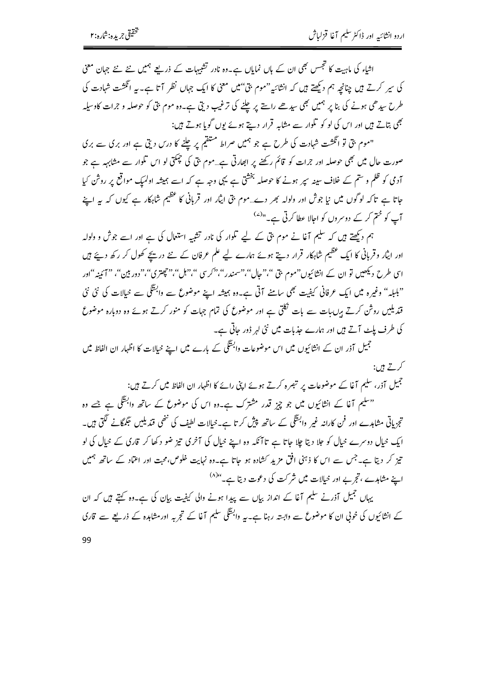اشاء کی ماہیت کا تجسں بھی ان کے ہاں نمایاں ہے۔وہ نادر تشبیہات کے ذریعے ہمیں نئے نئے جہان معنی کی سپر کرتے ہیں چنانچہ ہم دیکھتے ہیں کہ انشائیہ "موم بتی"میں معنی کا ایک جہاں نظر آتا ہے۔ یہ انگشت شہادت کی طرح سیدھی ہونے کی بنا پر ہمیں بھی سیدھے راستے پر چلنے کی ترغیب دیتی ہے۔وہ موم بتی کو حوصلہ و جرات کاوسیلہ بھی بتاتے ہیں اور اس کی لو کو تلوار سے مشابہ قرار دیتے ہوئے یوں گویا ہوتے ہیں:

"موم بتی تو انگشت شہادت کی طرح ہے جو ہمیں صراط متقیم پر چلنے کا درس دیتی ہے اور بری سے بری صورت حال میں بھی حوصلہ اور جرات کو قائم رکھنے پر ابھارتی ہے…موم بتی کی حجکتی لو اس تکوار سے مشابہہ ہے جو آدمی کو ظلم و سٹم کے خلاف سینہ سپر ہونے کا حوصلہ بخشق ہے یہی وجہ ہے کہ اسے ہمیشہ اولمیک مواقع پر روش کیا جاتا ہے تاکہ لوگوں میں نیا جوش اور ولولہ بھر دے…موم بق ایثار اور قربانی کا عظیم شاہکار ہے کیوں کہ یہ اپنے آپ کو ختم کر کے دوسروں کو اجالا عطا کرتی ہے۔"<sup>(۷)</sup>

ہم دیکھتے ہیں کہ سلیم آغا نے موم بتی کے لیے تلوار کی نادر تشبیہ استعال کی ہے اور اسے جوش و ولولہ اور اپٹار وقربانی کا ایک عظیم شاہکار قرار دیتے ہوئے ہمارے لیے علم عرفان کے نئے دریجے کھول کر رکھ دیئے ہیں اسی طرح دیکھیں تو ان کے انشائیوں"موم بق"،"حال"،"سمندر"،" کر سی"،"ل"،"چھتری"،"دور بین"، "ہیں "ا "بلبلہ" وغیرہ میں ایک عرفانی کیفیت بھی سامنے آتی ہے۔وہ ہمیشہ اپنے موضوع سے وابسگی سے خیالات کی نئی نئی قندیلیں روشن کرتے ہرں بات سے بات نکلی ہے اور موضوع کی تمام جہات کو منور کرتے ہوئے وہ دوبارہ موضوع کی طرف پلٹ آتے ہیں اور ہمارے جذبات میں نئی لہر ڈور جاتی ہے۔

جمیل آذر ان کے انشائیوں میں اس موضوعات وابستگی کے بارے میں اپنے خیالات کا اظہار ان الفاظ میں کرتے ہیں:

۔<br>جمیل آذر، سلیم آغا کے موضوعات پر تبصرہ کرتے ہوئے اپنی رائے کا اظہار ان الفاظ میں کرتے ہیں:

"سلیم آغا کے انشائیوں میں جو چیز قدر مشترک ہے۔وہ اس کی موضوع کے ساتھ وابستگی ہے جسے وہ تجزیاتی مشاہدے اور فن کارانہ غیر وابستگی کے ساتھ پیش کر تا ہے۔خیالات لطیف کی نٹھی قندیلیں حِمگانے لگتی ہیں۔ ایک خیال دوسرے خیال کو جلا دیتا چلا جاتا ہے تا آنکہ وہ اپنے خیال کی آخری تیز ضو دکھا کر قاری کے خیال کی لو تیز کر دیتا ہے۔جس سے اس کا ذہنی افق مزیدِ کشادہ ہو جاتا ہے۔وہ نہایت خلوص،محبت اور اعتماد کے ساتھ ہمیں اپنے مشاہدے ، تجربے اور خیالات میں شر کت کی دعوت دیتا ہے۔"<sup>XA</sup>

یہاں جمیل آذرنے سلیم آغا کے انداز بیاں سے پیدا ہونے والی کیفیت بیان کی ہے۔وہ کہتے ہیں کہ ان کے انشائیوں کی خونی ان کا موضوع سے وابستہ رہنا ہے۔ہہ وابستگی سلیم آغا کے تجربہ اور مشاہدہ کے ذریعے سے قاری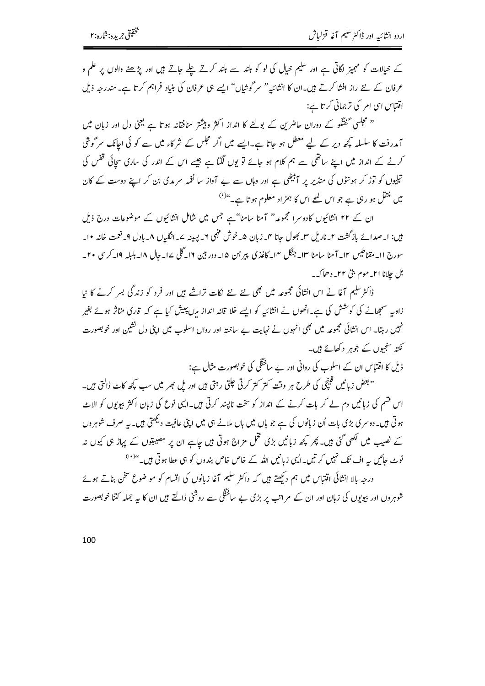کے خیالات کو مہیز لگاتی ہے اور سلیم خیال کی لو کو بلند سے بلند کرتے چلے جاتے ہیں اور پڑھنے والوں پر علم و عرفان کے نئے راز افشا کرتے ہیں۔ان کا انشائیہ" سر گوشاں" ایسے ہی عرفان کی بنیاد فراہم کرتا ہے۔مندرجہ ذیل اقتباس اسی امر کی ترجمانی کرتا ہے:

'' مجلسی گفتگو کے دوران حاضرین کے بولنے کا انداز اکثر وبیشتر منافقانہ ہوتا ہے یعنی دل اور زبان میں آمدرفت کا سلسلہ کچھ دیر کے لیے معطل ہو جاتا ہے۔ایسے میں اگر مجلس کے شرکاء میں سے کو ئی اجانک سرگوشی کرنے کے انداز میں اپنے ساتھی سے ہم کلام ہو جائے تو یوں لگتا ہے جیسے اس کے اندر کی ساری سچائی قفس کی تیلیوں کو توڑ کر ہو نٹوں کی منڈیر پر آبیٹھی ہے اور وہاں سے بے آواز سا نغمہ سرمدی بن کر اپنے دوست کے کان میں منتقل ہو رہی ہے جو اس لمحے اس کا ہمزاد معلوم ہو تا ہے۔ <sup>ہوں</sup>

ان کے ۲۲ انشائیوں کادوسرا مجموعہ" آمنا سامنا"ہے جس میں شامل انشائیوں کے موضوعات درج ذیل ہیں: ا۔صدائے بازگشت ۲۔ناریل س بھول جانا ۲۔زبان ۵۔خوش فہمی ۲۔پیپنہ سے۔انگلیاں ۸۔بادل ۹۔نعمت خانہ ۱۰۔ سورج اا۔مقناطیس ۱۲۔ آمنا سامنا ۱۳۔جنگل ۱۴۔ کاغذی پیر ہمن ۱۵۔ دور بین ۱۲۔گلی ساحال ۱۸۔بلیلہ ۱۹۔کرسی ۲۰۔ ہل جلانا ا۲۔موم بقی ۲۲۔دھاکہ۔

ڈاکٹرسلیم آغا نے اس انشائی مجموعہ میں بھی نئے نئے نکات تراشے ہیں اور فرد کو زندگی بسر کرنے کا نیا زاویہ سمجھانے کی کوشش کی ہے۔انھوں نے انشائیہ کو ایسے خلا قانہ انداز مرن پیش کیا ہے کہ قاری متاثر ہوئے بغیر نہیں رہتا۔ اس انشائی مجموعہ میں بھی انہوں نے نہایت بے ساختہ اور رواں اسلوب میں اپنی دل نشین اور خوبصورت نکتہ سنجیوں کے جوہر دکھائے ہیں۔

ذیل کا اقتباس ان کے اسلوب کی روانی اور بے ساخلگی کی خوبصورت مثال ہے:

"بعض زبانیں قینچی کی طرح ہر وقت کتر کتر کرتی حلتی رہتی ہیں اور یل بھر میں سب کچھ کاٹ ڈالتی ہیں۔ اس قسم کی زبانیں دم لے کر بات کرنے کے انداز کو سخت ناپسند کرتی ہیں۔ایپی نوع کی زبان اکثر بیویوں کو الاٹ ہوتی ہیں۔دوسری بڑی بات اُن زبانوں کی ہے جو ہاں میں ہاں ملانے ہی میں اپنی عافیت دیکھتی ہیں۔بیہ صرف شوہروں کے نصیب میں لکھی گئی ہیں۔ پھر کچھ زبانیں بڑی تخمل مزاج ہوتی ہیں جاہے ان پر مصیبتوں کے پہاڑ ہی کیوں نہ ٹوٹ جائیں یہ اف تک نہیں کر تیں۔ایچ زبانیں اللہ کے خاص خاص بندوں کو ہی عطا ہوتی ہیں۔'' '' درجہ بالا انشائی اقتباس میں ہم دیکھتے ہیں کہ داکٹر سلیم آغا زبانوں کی اقسام کو مو ضوع شخن بناتے ہوئے

شوہر وں اور ببولوں کی زبان اور ان کے م اتب پر بڑی بے ساخنگی سے روشنی ڈالتے ہیں ان کا یہ جملہ کتنا خوبصورت

100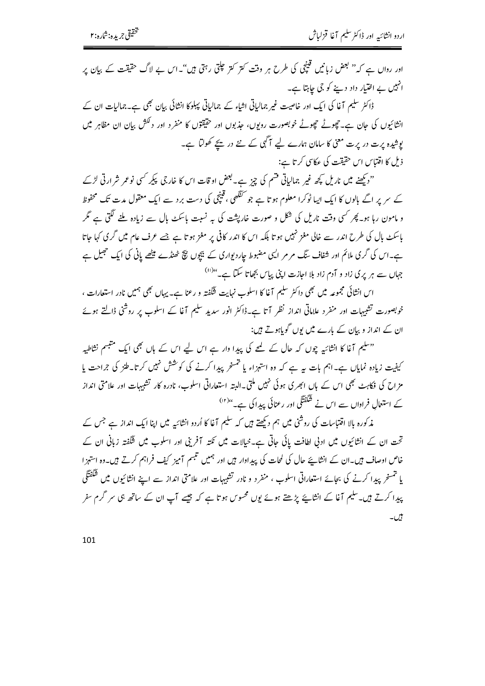اور رواں ہے کہ" بعض زبانیں قینچی کی طرح ہر وقت کتر کتر علتی رہتی ہیں"۔اس بے لاگ حقیقت کے بیان پر انہیں بے اختیار داد دینے کو جی جاہتا ہے۔

ڈاکٹر سلیم آغا کی ایک اور خاصیت غیر جمالیاتی اشاء کے جمالیاتی پہلوکا انشائی بیان بھی ہے۔جمالیات ان کے انشائیوں کی حان ہے۔حچوٹے حچوٹے خوبصورت روبوں، جذبوں اور حقیقتوں کا منفرد اور دلکش بیان ان مظاہر میں بوشیدہ پرت در پرت معنی کا سامان ہمارے لیے آگہی کے نئے در یحے کھولتا ہے۔ ذیل کا اقتباس اس حقیقت کی عکاسی کرتا ہے:

"دیکھنے میں ناریل کچھ غیر جمالیاتی قشم کی چیز ہے۔ بعض اوقات اس کا خارجی پیکر کسی نوعمر شرارتی لڑے کے سر پر اگے بالوں کا ایک ایبا ٹوکرا معلوم ہو تا ہے جو گنگھی ، قینچی کی دست برد سے ایک معقول مدت تک محفوظ و مامون رہا ہو۔ پھر کسی وقت ناریل کی شکل و صورت خارپشت کی بہ نسبت باسکٹ پال سے زیادہ ملنے لگتی ہے گر پاسکٹ پال کی طرح اندر سے خالی مغز نہیں ہو تا بلکہ اس کا اندر کافی پر مغز ہو تا ہے جسے عرف عام میں گری کہا جاتا ہے۔اس کی گری ملائم اور شفاف سنگ مر مر ایپی مضبوط جاردیواری کے بیچوں بیچ ٹھنڈے میٹھے پانی کی ایک حجیل ہے جہاں سے ہر یری زاد و آدم زاد بلا اجازت اینی یہاس بچھاتا سکتا ہے۔"<sup>(!)</sup>

اس انشائی مجموعه میں بھی داکٹر سلیم آغا کا اسلوب نہایت شگفته و رعنا ہے۔پہاں بھی ہمیں نادر استعارات ، خوبصورت تشبیہات اور منفرد علاماتی انداز نظر آتا ہے۔ڈاکٹر انور سدید سلیم آغا کے اسلوب پر روشی ڈالتے ہوئے ان کے انداز و بیان کے بارے میں یوں گویاہوتے ہیں:

"سلیم آغا کا انشائیہ چوں کہ حال کے لیے کی پیدا وار ہے اس لیے اس کے ہاں بھی ایک متبسم نشاطیہ کیفیت زیادہ نمایاں ہے۔اہم بات ہہ ہے کہ وہ استہزاء یا خمسخر پیدا کرنے کی کوشش نہیں کرتا۔طنز کی جراحت یا مزاح کی فکاہٹ بھی اس کے ہاں ابھری ہوئی نہیں ملتی۔البتہ استعاراتی اسلوب، نادرہ کار تشبیہات اور علامتی انداز کے استعمال فراواں سے اس نے شَکْفَتَگی اور رعنائی پیدا کی ہے۔''<sup>(۱)</sup>

مذکورہ بالا اقتتاسات کی روشی میں ہم دیکھتے ہیں کہ سلیم آغا کا اُردو انشائیہ میں اپنا ایک انداز ہے جس کے تحت ان کے انشائیوں میں ادنی لطافت یائی جاتی ہے۔خیالات میں نکتہ آفرینی اور اسلوب میں شگفتہ زبانی ان کے ۔<br>خاص اوصاف ہیں۔ان کے انشاپئے حال کی لمحات کی پیداوار ہیں اور ہمیں تنبسم آمیز کیف فراہم کرتے ہیں۔وہ استہزا یا تمسخر پیدا کرنے کی بجائے استعاراتی اسلوب ، منفرد و نادر تشبیہات اور علامتی انداز سے اپنے انشائیوں میں شکفتگی پیدا کرتے ہیں۔سلیم آغا کے انشایئے پڑھتے ہوئے یوں محسوس ہو تا ہے کہ جیسے آپ ان کے ساتھ ہی سر گرم سفر بیں۔

101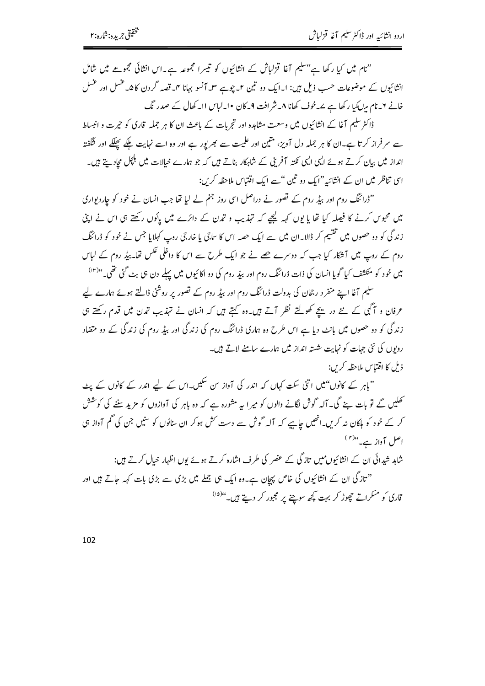"نام میں کیا رکھا ہے"سلیم آغا قزلیاش کے انشائیوں کو تیسرا مجموعہ ہے۔اس انشائی مجموعے میں شامل انشائیوں کے موضوعات حسب ذیل ہیں: ا۔ایک دو تین ۲۔چوہے ۳۔آنسو بہانا ۴۔قصہ گردن کا ۵۔غسل اور عنسل خانے ۲۔نام مرایکیا رکھا ہے بے۔خوف کھانا ۸۔شر افت 9۔کان •ا۔لیاس اا۔کھال کے صدر نگ

ڈاکٹر سلیم آغا کے انشائیوں میں وسعت مشاہدہ اور تجربات کے باعث ان کا ہر جملہ قاری کو حیرت و انبساط سے سر فراز کرتا ہے۔ان کا ہر جملہ دل آویز، مثین اور علمیت سے بھر یور ہے اور وہ اسے نہایت ملکے پھلکے اور شگفتہ انداز میں بیان کرتے ہوئے ایں ایپی نکتہ آفرینی کے شاہکار بناتے ہیں کہ جو ہمارے خیالات میں ہلچل مجادیتے ہیں۔ اسی تناظر میں ان کے انشائیہ"ایک دو تین "سے ایک اقتتاس ملاحظہ کریں:

"ڈرائنگ روم اور بیڈ روم کے تصور نے دراصل اسی روز جنم لے لیا تھا جب انسان نے خود کو چاردیواری میں محبوس کرنے کا فیصلہ کیا تھا یا یوں کہہ لیچے کہ تہذیب و تمرن کے دائرے میں پائوں رکھتے ہی اس نے اپنی زندگی کو دو حصوں میں تقسیم کر ڈالا۔ان میں سے ایک حصہ اس کا ساجی یا خارجی روپ کہلایا جس نے خود کو ڈرائنگ روم کے روپ میں آشکار کیا جب کہ دوسرے جھے نے جو ایک طرح سے اس کا داخلی عکس تھا۔ بیڈِ روم کے لباس میں خود کو منکشف کیا گویا انسان کی ذات ڈرائنگ روم اور بیڈ روم کی دو اکائیوں میں پہلے دن ہی بٹ گئی تھی۔" <sup>(r)</sup>)

سلیم آغا اپنے منفر د رجحان کی بدولت ڈرائنگ روم اور بیڈ روم کے تصور پر روشنی ڈالتے ہوئے ہمارے لیے عرفان و آڳي کے نئے در ہیچے کھولتے نظر آتے ہیں۔وہ کہتے ہیں کہ انسان نے تہذیب تمدن میں قدم رکھتے ہی زندگی کو دو حصوں میں بانٹ دیا ہے اس طرح وہ ہماری ڈرائنگ روم کی زندگی اور بیڈ روم کی زندگی کے دو متضاد روبوں کی نئی جہات کو نہایت شستہ انداز میں ہمارے سامنے لاتے ہیں۔ ذيل كا اقتباس ملاحظه كرس:

"باہر کے کانوں"میں اتنی سکت کہاں کہ اندر کی آواز س سکیں۔اس کے لیے اندر کے کانوں کے پٹ کھلیں گے تو بات بنے گی۔آلہ گوش لگانے والوں کو میر ا بیہ مشورہ ہے کہ وہ باہر کی آوازوں کو مزید سننے کی کوشش کر کے خود کو ہلکان نہ کریں۔انھیں جاہیے کہ آلہ گوش سے دست کش ہوکر ان ساٹوں کو سنیں جن کی گم آواز ہی اصل آواز ہے۔"

شاہد شیدائی ان کے انشائیوں میں تازگی کے عضر کی طرف اشارہ کرتے ہوئے یوں اظہار خیال کرتے ہیں: ''تاز گی ان کے انشائیوں کی خاص پیچان ہے۔وہ ایک ہی جملے میں بڑی سے بڑی بات کہہ جاتے ہیں اور قاری کو مسکراتے چھوڑ کر بہت کچھ سوچنے پر مجبور کر دیتے ہیں۔"<sup>(۵)</sup>